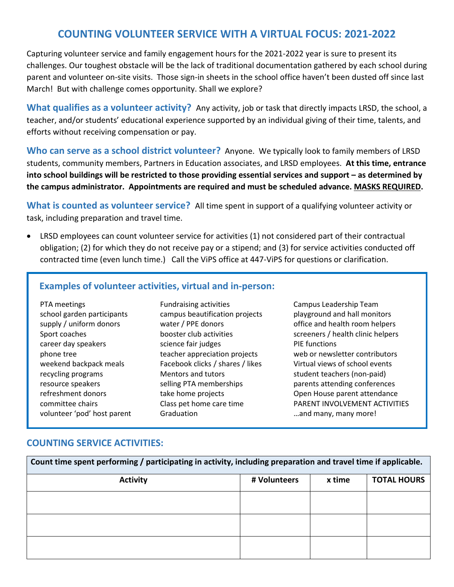# **COUNTING VOLUNTEER SERVICE WITH A VIRTUAL FOCUS: 2021-2022**

Capturing volunteer service and family engagement hours for the 2021-2022 year is sure to present its challenges. Our toughest obstacle will be the lack of traditional documentation gathered by each school during parent and volunteer on-site visits. Those sign-in sheets in the school office haven't been dusted off since last March! But with challenge comes opportunity. Shall we explore?

**What qualifies as a volunteer activity?** Any activity, job or task that directly impacts LRSD, the school, a teacher, and/or students' educational experience supported by an individual giving of their time, talents, and efforts without receiving compensation or pay.

**Who can serve as a school district volunteer?** Anyone. We typically look to family members of LRSD students, community members, Partners in Education associates, and LRSD employees. **At this time, entrance into school buildings will be restricted to those providing essential services and support – as determined by the campus administrator. Appointments are required and must be scheduled advance. MASKS REQUIRED.**

**What is counted as volunteer service?** All time spent in support of a qualifying volunteer activity or task, including preparation and travel time.

• LRSD employees can count volunteer service for activities (1) not considered part of their contractual obligation; (2) for which they do not receive pay or a stipend; and (3) for service activities conducted off contracted time (even lunch time.) Call the ViPS office at 447-ViPS for questions or clarification.

#### **Examples of volunteer activities, virtual and in-person:**

| PTA meetings                |
|-----------------------------|
| school garden participants  |
| supply / uniform donors     |
| Sport coaches               |
| career day speakers         |
| phone tree                  |
| weekend backpack meals      |
| recycling programs          |
| resource speakers           |
| refreshment donors          |
| committee chairs            |
| volunteer 'pod' host parent |

Fundraising activities Campus Leadership Team campus beautification projects playground and hall monitors science fair judges **EXACTE:** PIE functions Facebook clicks / shares / likes Virtual views of school events Mentors and tutors student teachers (non-paid)

water / PPE donors office and health room helpers vater / PPE donors booster club activities screeners / health clinic helpers teacher appreciation projects web or newsletter contributors selling PTA memberships parents attending conferences take home projects and the open House parent attendance Class pet home care time **PARENT INVOLVEMENT ACTIVITIES** Graduation **Graduation Contract Property** many many more!

### **COUNTING SERVICE ACTIVITIES:**

| Count time spent performing / participating in activity, including preparation and travel time if applicable. |              |        |                    |
|---------------------------------------------------------------------------------------------------------------|--------------|--------|--------------------|
| <b>Activity</b>                                                                                               | # Volunteers | x time | <b>TOTAL HOURS</b> |
|                                                                                                               |              |        |                    |
|                                                                                                               |              |        |                    |
|                                                                                                               |              |        |                    |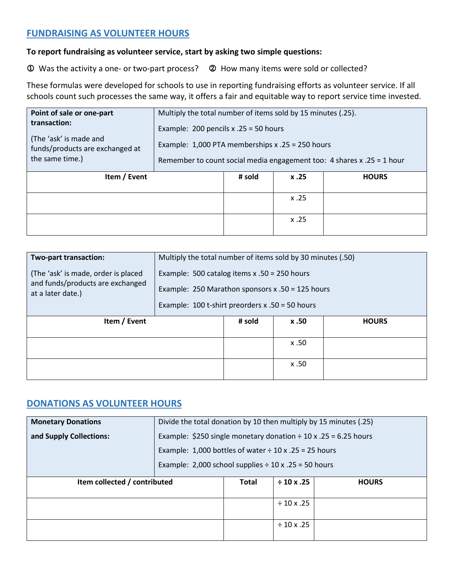## **FUNDRAISING AS VOLUNTEER HOURS**

#### **To report fundraising as volunteer service, start by asking two simple questions:**

Was the activity a one- or two-part process? How many items were sold or collected?

These formulas were developed for schools to use in reporting fundraising efforts as volunteer service. If all schools count such processes the same way, it offers a fair and equitable way to report service time invested.

| Point of sale or one-part<br>transaction:<br>(The 'ask' is made and<br>funds/products are exchanged at<br>the same time.) | Multiply the total number of items sold by 15 minutes (.25).<br>Example: 200 pencils $x .25 = 50$ hours<br>Example: $1,000$ PTA memberships x .25 = 250 hours<br>Remember to count social media engagement too: 4 shares x .25 = 1 hour |        |      |              |
|---------------------------------------------------------------------------------------------------------------------------|-----------------------------------------------------------------------------------------------------------------------------------------------------------------------------------------------------------------------------------------|--------|------|--------------|
| Item / Event                                                                                                              |                                                                                                                                                                                                                                         | # sold | x.25 | <b>HOURS</b> |
|                                                                                                                           |                                                                                                                                                                                                                                         |        | x.25 |              |
|                                                                                                                           |                                                                                                                                                                                                                                         |        | x.25 |              |

| Two-part transaction:                                                                        | Multiply the total number of items sold by 30 minutes (.50)                                                                                               |        |       |              |
|----------------------------------------------------------------------------------------------|-----------------------------------------------------------------------------------------------------------------------------------------------------------|--------|-------|--------------|
| (The 'ask' is made, order is placed<br>and funds/products are exchanged<br>at a later date.) | Example: 500 catalog items $x .50 = 250$ hours<br>Example: 250 Marathon sponsors $x .50 = 125$ hours<br>Example: $100$ t-shirt preorders x .50 = 50 hours |        |       |              |
| Item / Event                                                                                 |                                                                                                                                                           | # sold | x .50 | <b>HOURS</b> |
|                                                                                              |                                                                                                                                                           |        | x.50  |              |
|                                                                                              |                                                                                                                                                           |        | x .50 |              |

## **DONATIONS AS VOLUNTEER HOURS**

| <b>Monetary Donations</b>    | Divide the total donation by 10 then multiply by 15 minutes (.25)    |                 |                 |  |
|------------------------------|----------------------------------------------------------------------|-----------------|-----------------|--|
| and Supply Collections:      | Example: \$250 single monetary donation $\div$ 10 x .25 = 6.25 hours |                 |                 |  |
|                              | Example: 1,000 bottles of water $\div$ 10 x .25 = 25 hours           |                 |                 |  |
|                              | Example: 2,000 school supplies $\div$ 10 x .25 = 50 hours            |                 |                 |  |
| Item collected / contributed | <b>Total</b>                                                         | $\div$ 10 x .25 | <b>HOURS</b>    |  |
|                              |                                                                      |                 |                 |  |
|                              |                                                                      |                 | $\div$ 10 x .25 |  |
|                              |                                                                      |                 |                 |  |
|                              |                                                                      |                 | $\div$ 10 x .25 |  |
|                              |                                                                      |                 |                 |  |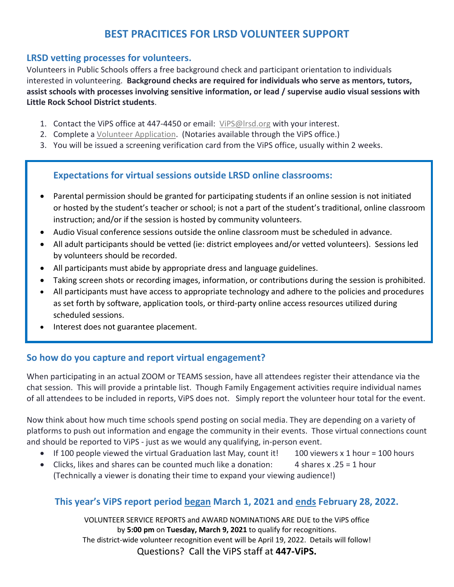# **BEST PRACITICES FOR LRSD VOLUNTEER SUPPORT**

### **LRSD vetting processes for volunteers.**

Volunteers in Public Schools offers a free background check and participant orientation to individuals interested in volunteering. **Background checks are required for individuals who serve as mentors, tutors, assist schools with processes involving sensitive information, or lead / supervise audio visual sessions with Little Rock School District students**.

- 1. Contact the ViPS office at 447-4450 or email: [ViPS@lrsd.org](mailto:ViPS@lrsd.org?subject=I%20am%20interested%20in%20volunteering!) with your interest.
- 2. Complete a [Volunteer Application.](https://www.lrsd.org/cms/lib/AR02203631/Centricity/Domain/130/VolunteerApplication2015_4.pdf) (Notaries available through the ViPS office.)
- 3. You will be issued a screening verification card from the ViPS office, usually within 2 weeks.

## **Expectations for virtual sessions outside LRSD online classrooms:**

- Parental permission should be granted for participating students if an online session is not initiated or hosted by the student's teacher or school; is not a part of the student's traditional, online classroom instruction; and/or if the session is hosted by community volunteers.
- Audio Visual conference sessions outside the online classroom must be scheduled in advance.
- All adult participants should be vetted (ie: district employees and/or vetted volunteers). Sessions led by volunteers should be recorded.
- All participants must abide by appropriate dress and language guidelines.
- Taking screen shots or recording images, information, or contributions during the session is prohibited.
- All participants must have access to appropriate technology and adhere to the policies and procedures as set forth by software, application tools, or third-party online access resources utilized during scheduled sessions.
- Interest does not guarantee placement.

## **So how do you capture and report virtual engagement?**

When participating in an actual ZOOM or TEAMS session, have all attendees register their attendance via the chat session. This will provide a printable list. Though Family Engagement activities require individual names of all attendees to be included in reports, ViPS does not. Simply report the volunteer hour total for the event.

Now think about how much time schools spend posting on social media. They are depending on a variety of platforms to push out information and engage the community in their events. Those virtual connections count and should be reported to ViPS - just as we would any qualifying, in-person event.

- If 100 people viewed the virtual Graduation last May, count it! 100 viewers x 1 hour = 100 hours
- Clicks, likes and shares can be counted much like a donation: 4 shares x .25 = 1 hour (Technically a viewer is donating their time to expand your viewing audience!)

## **This year's ViPS report period began March 1, 2021 and ends February 28, 2022.**

VOLUNTEER SERVICE REPORTS and AWARD NOMINATIONS ARE DUE to the ViPS office by **5:00 pm** on **Tuesday, March 9, 2021** to qualify for recognitions. The district-wide volunteer recognition event will be April 19, 2022. Details will follow! Questions? Call the ViPS staff at **447-ViPS.**